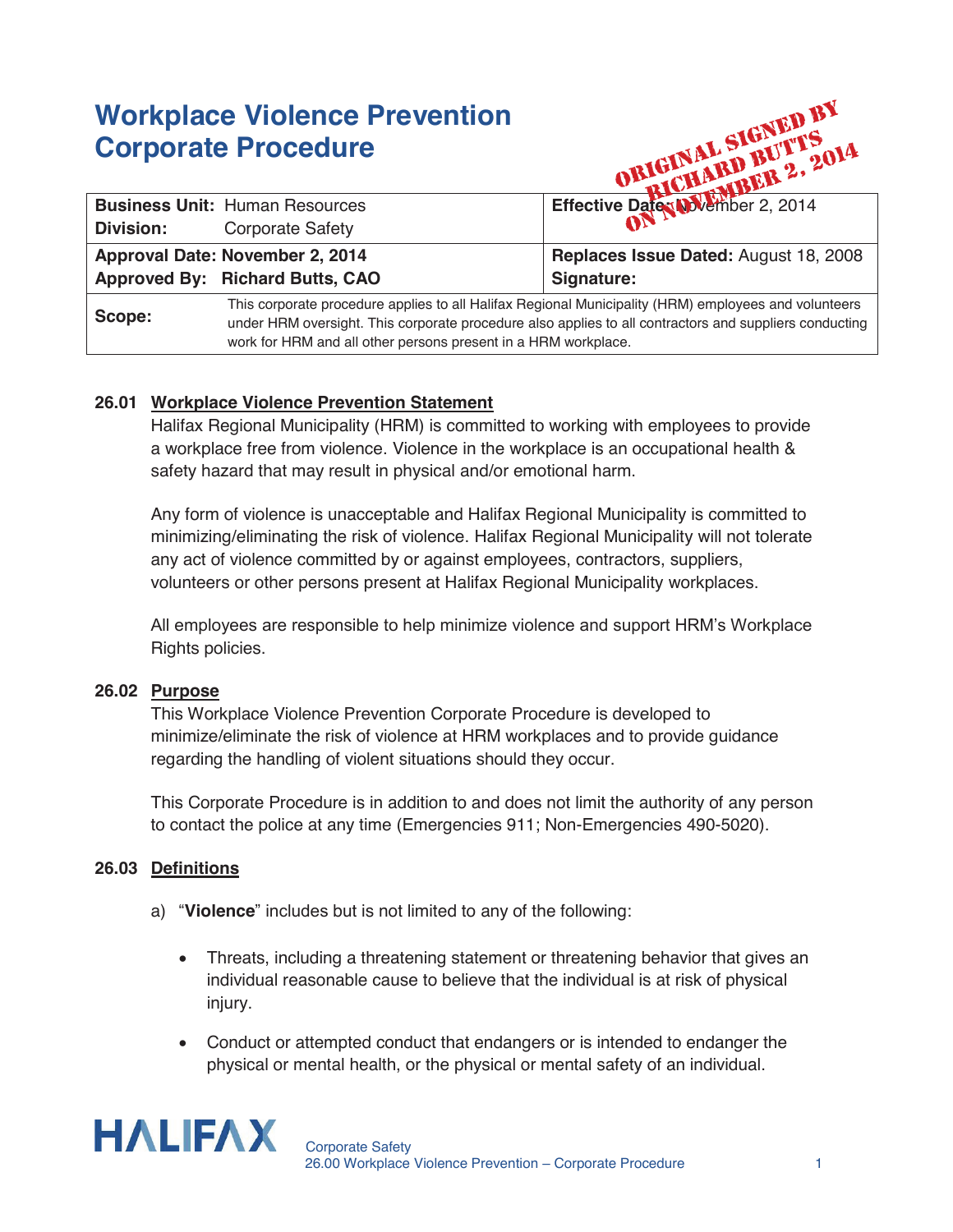# **Workplace Violence Prevention Corporate Procedure**

| <b>Workplace Violence Prevention</b><br><b>Corporate Procedure</b> |                                                                                                                                                                                                                                                                                  | ORIGINAL SIGNED B1                    |
|--------------------------------------------------------------------|----------------------------------------------------------------------------------------------------------------------------------------------------------------------------------------------------------------------------------------------------------------------------------|---------------------------------------|
|                                                                    | <b>Business Unit: Human Resources</b>                                                                                                                                                                                                                                            |                                       |
| <b>Division:</b>                                                   | <b>Corporate Safety</b>                                                                                                                                                                                                                                                          |                                       |
| Approval Date: November 2, 2014                                    |                                                                                                                                                                                                                                                                                  | Replaces Issue Dated: August 18, 2008 |
|                                                                    | Approved By: Richard Butts, CAO                                                                                                                                                                                                                                                  | Signature:                            |
| Scope:                                                             | This corporate procedure applies to all Halifax Regional Municipality (HRM) employees and volunteers<br>under HRM oversight. This corporate procedure also applies to all contractors and suppliers conducting<br>work for HRM and all other persons present in a HRM workplace. |                                       |

## **26.01 Workplace Violence Prevention Statement**

Halifax Regional Municipality (HRM) is committed to working with employees to provide a workplace free from violence. Violence in the workplace is an occupational health & safety hazard that may result in physical and/or emotional harm.

Any form of violence is unacceptable and Halifax Regional Municipality is committed to minimizing/eliminating the risk of violence. Halifax Regional Municipality will not tolerate any act of violence committed by or against employees, contractors, suppliers, volunteers or other persons present at Halifax Regional Municipality workplaces.

All employees are responsible to help minimize violence and support HRM's Workplace Rights policies.

#### **26.02 Purpose**

This Workplace Violence Prevention Corporate Procedure is developed to minimize/eliminate the risk of violence at HRM workplaces and to provide guidance regarding the handling of violent situations should they occur.

This Corporate Procedure is in addition to and does not limit the authority of any person to contact the police at any time (Emergencies 911; Non-Emergencies 490-5020).

#### **26.03 Definitions**

- a) "**Violence**" includes but is not limited to any of the following:
	- Threats, including a threatening statement or threatening behavior that gives an individual reasonable cause to believe that the individual is at risk of physical injury.
	- Conduct or attempted conduct that endangers or is intended to endanger the physical or mental health, or the physical or mental safety of an individual.

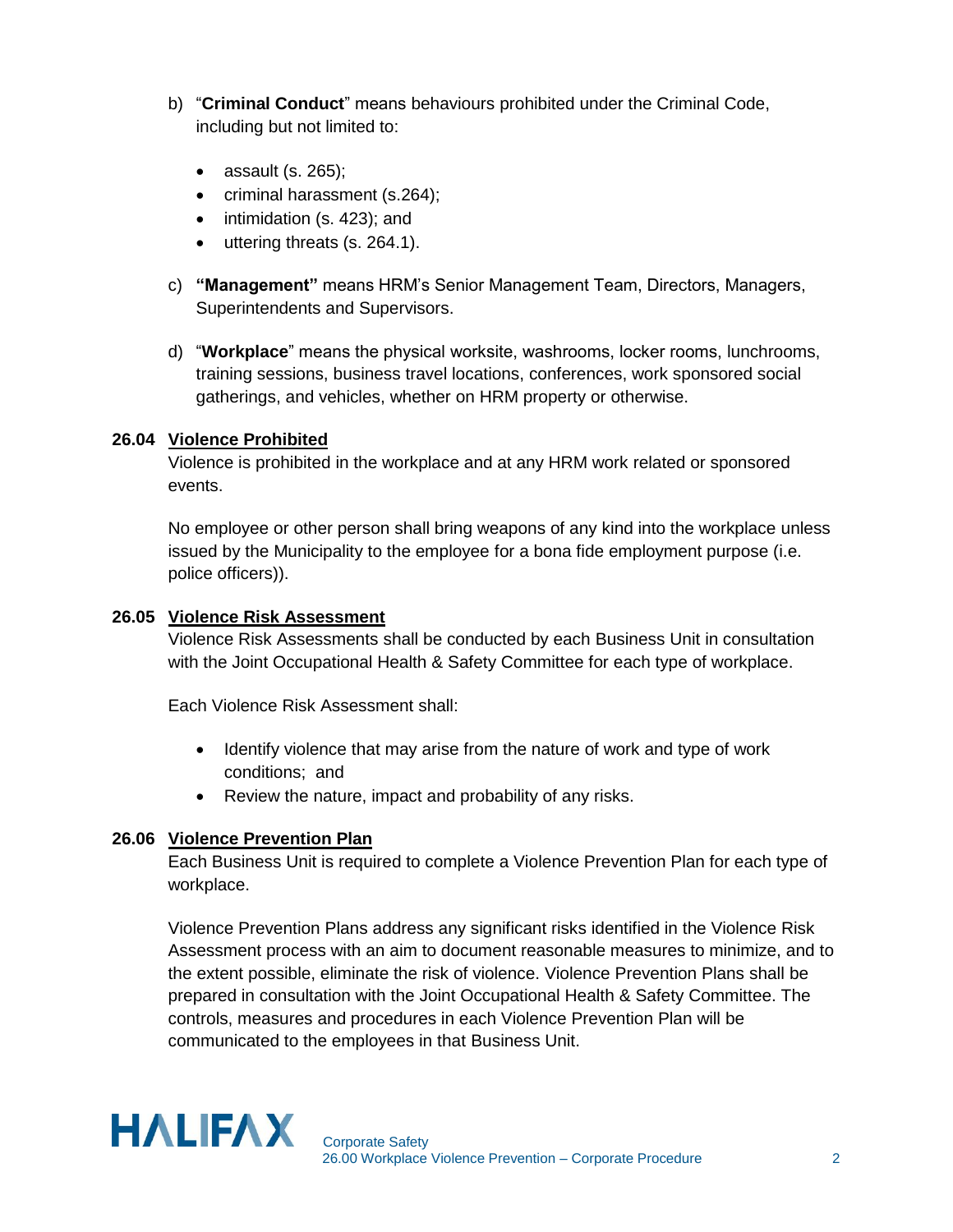- b) "**Criminal Conduct**" means behaviours prohibited under the Criminal Code, including but not limited to:
	- assault (s. 265);
	- criminal harassment (s.264);
	- intimidation (s. 423); and
	- uttering threats (s. 264.1).
- c) **"Management"** means HRM's Senior Management Team, Directors, Managers, Superintendents and Supervisors.
- d) "**Workplace**" means the physical worksite, washrooms, locker rooms, lunchrooms, training sessions, business travel locations, conferences, work sponsored social gatherings, and vehicles, whether on HRM property or otherwise.

#### **26.04 Violence Prohibited**

Violence is prohibited in the workplace and at any HRM work related or sponsored events.

No employee or other person shall bring weapons of any kind into the workplace unless issued by the Municipality to the employee for a bona fide employment purpose (i.e. police officers)).

#### **26.05 Violence Risk Assessment**

Violence Risk Assessments shall be conducted by each Business Unit in consultation with the Joint Occupational Health & Safety Committee for each type of workplace.

Each Violence Risk Assessment shall:

- Identify violence that may arise from the nature of work and type of work conditions; and
- Review the nature, impact and probability of any risks.

#### **26.06 Violence Prevention Plan**

Each Business Unit is required to complete a Violence Prevention Plan for each type of workplace.

Violence Prevention Plans address any significant risks identified in the Violence Risk Assessment process with an aim to document reasonable measures to minimize, and to the extent possible, eliminate the risk of violence. Violence Prevention Plans shall be prepared in consultation with the Joint Occupational Health & Safety Committee. The controls, measures and procedures in each Violence Prevention Plan will be communicated to the employees in that Business Unit.

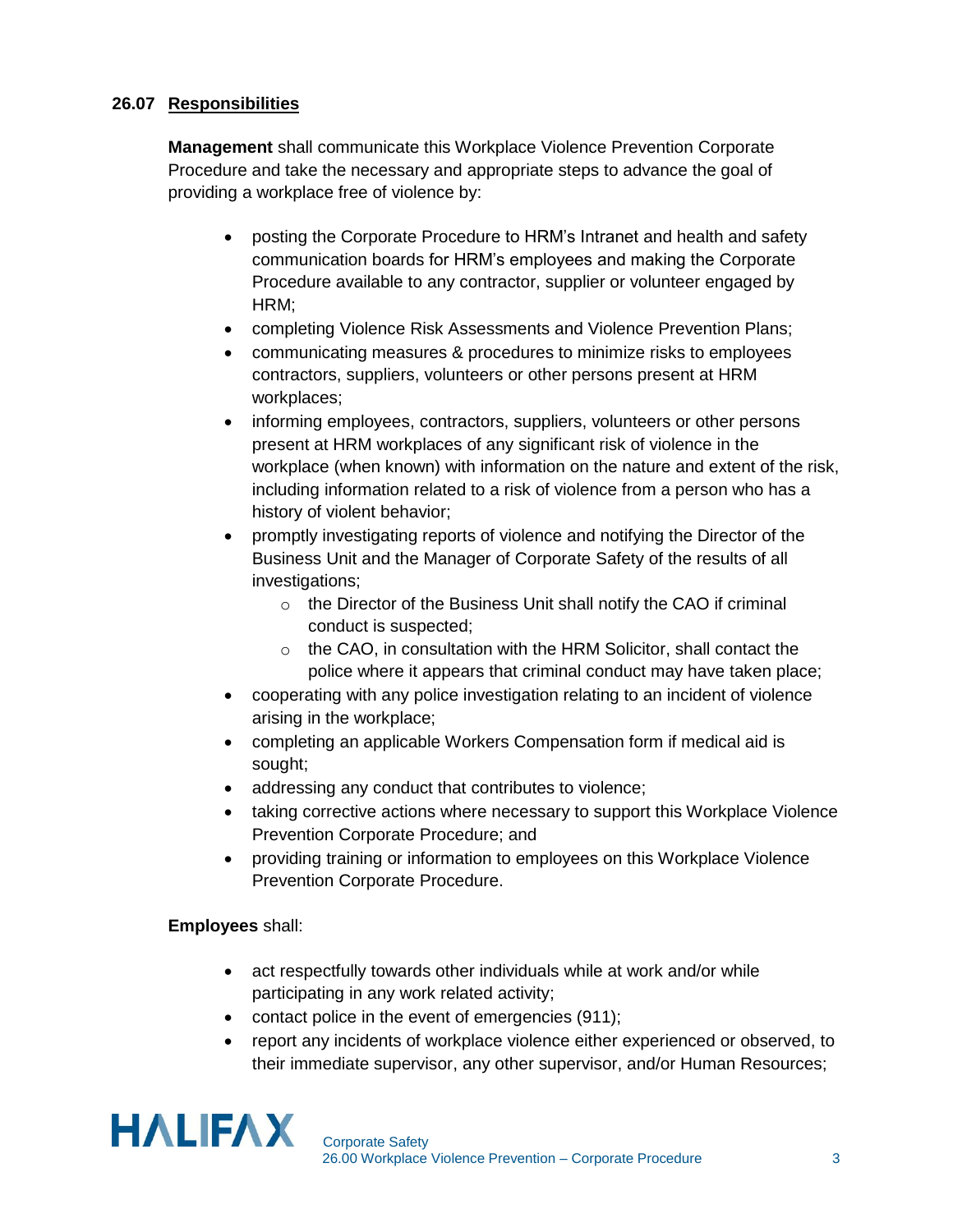## **26.07 Responsibilities**

**Management** shall communicate this Workplace Violence Prevention Corporate Procedure and take the necessary and appropriate steps to advance the goal of providing a workplace free of violence by:

- posting the Corporate Procedure to HRM's Intranet and health and safety communication boards for HRM's employees and making the Corporate Procedure available to any contractor, supplier or volunteer engaged by HRM;
- completing Violence Risk Assessments and Violence Prevention Plans;
- communicating measures & procedures to minimize risks to employees contractors, suppliers, volunteers or other persons present at HRM workplaces;
- informing employees, contractors, suppliers, volunteers or other persons present at HRM workplaces of any significant risk of violence in the workplace (when known) with information on the nature and extent of the risk, including information related to a risk of violence from a person who has a history of violent behavior;
- promptly investigating reports of violence and notifying the Director of the Business Unit and the Manager of Corporate Safety of the results of all investigations;
	- o the Director of the Business Unit shall notify the CAO if criminal conduct is suspected;
	- o the CAO, in consultation with the HRM Solicitor, shall contact the police where it appears that criminal conduct may have taken place;
- cooperating with any police investigation relating to an incident of violence arising in the workplace;
- completing an applicable Workers Compensation form if medical aid is sought;
- addressing any conduct that contributes to violence;
- taking corrective actions where necessary to support this Workplace Violence Prevention Corporate Procedure; and
- providing training or information to employees on this Workplace Violence Prevention Corporate Procedure.

## **Employees** shall:

- act respectfully towards other individuals while at work and/or while participating in any work related activity;
- contact police in the event of emergencies (911);
- report any incidents of workplace violence either experienced or observed, to their immediate supervisor, any other supervisor, and/or Human Resources;

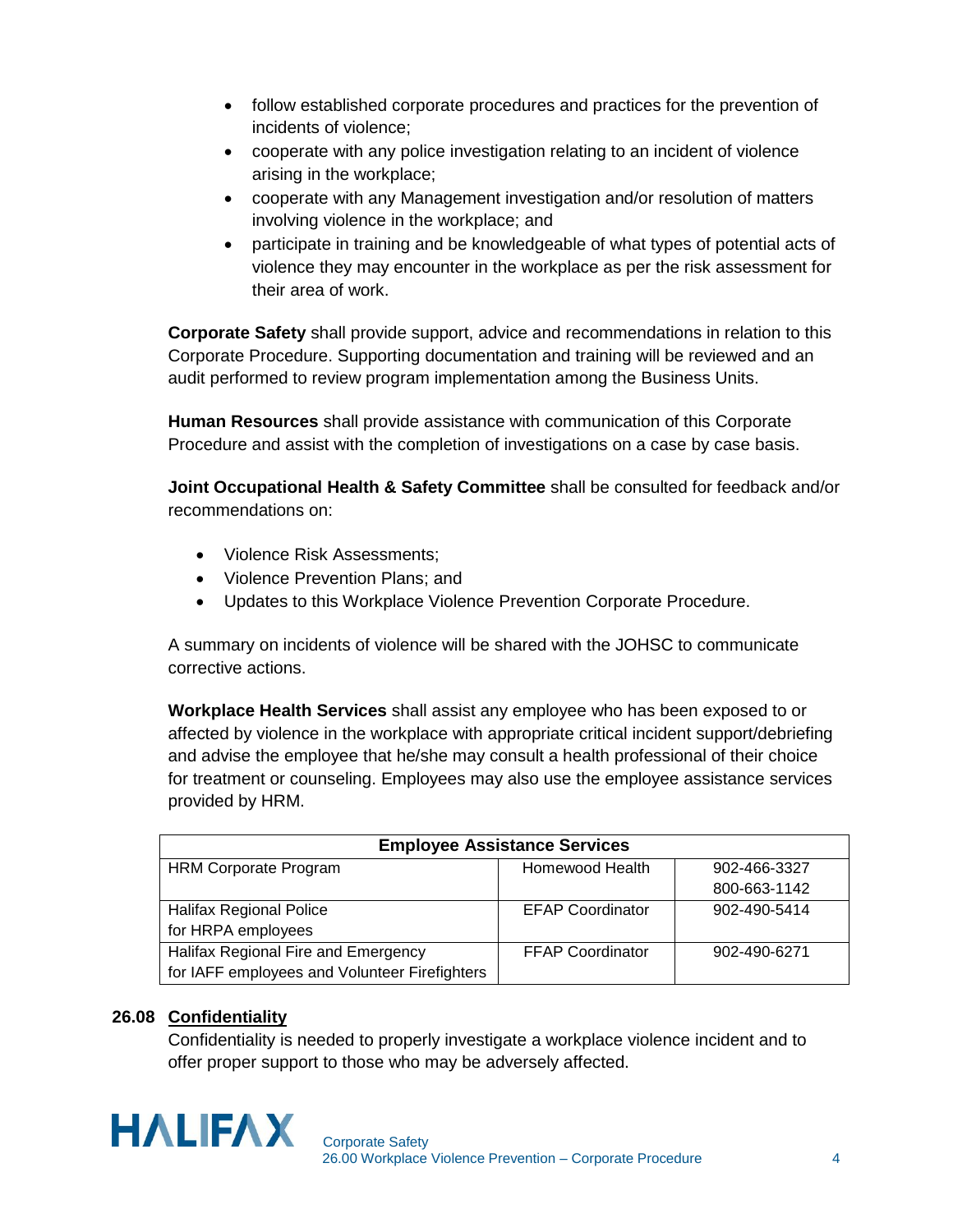- follow established corporate procedures and practices for the prevention of incidents of violence;
- cooperate with any police investigation relating to an incident of violence arising in the workplace;
- cooperate with any Management investigation and/or resolution of matters involving violence in the workplace; and
- participate in training and be knowledgeable of what types of potential acts of violence they may encounter in the workplace as per the risk assessment for their area of work.

**Corporate Safety** shall provide support, advice and recommendations in relation to this Corporate Procedure. Supporting documentation and training will be reviewed and an audit performed to review program implementation among the Business Units.

**Human Resources** shall provide assistance with communication of this Corporate Procedure and assist with the completion of investigations on a case by case basis.

**Joint Occupational Health & Safety Committee** shall be consulted for feedback and/or recommendations on:

- Violence Risk Assessments:
- Violence Prevention Plans; and
- Updates to this Workplace Violence Prevention Corporate Procedure.

A summary on incidents of violence will be shared with the JOHSC to communicate corrective actions.

**Workplace Health Services** shall assist any employee who has been exposed to or affected by violence in the workplace with appropriate critical incident support/debriefing and advise the employee that he/she may consult a health professional of their choice for treatment or counseling. Employees may also use the employee assistance services provided by HRM.

| <b>Employee Assistance Services</b>           |                         |              |  |  |
|-----------------------------------------------|-------------------------|--------------|--|--|
| <b>HRM Corporate Program</b>                  | Homewood Health         | 902-466-3327 |  |  |
|                                               |                         | 800-663-1142 |  |  |
| <b>Halifax Regional Police</b>                | <b>EFAP Coordinator</b> | 902-490-5414 |  |  |
| for HRPA employees                            |                         |              |  |  |
| Halifax Regional Fire and Emergency           | <b>FFAP Coordinator</b> | 902-490-6271 |  |  |
| for IAFF employees and Volunteer Firefighters |                         |              |  |  |

## **26.08 Confidentiality**

Confidentiality is needed to properly investigate a workplace violence incident and to offer proper support to those who may be adversely affected.

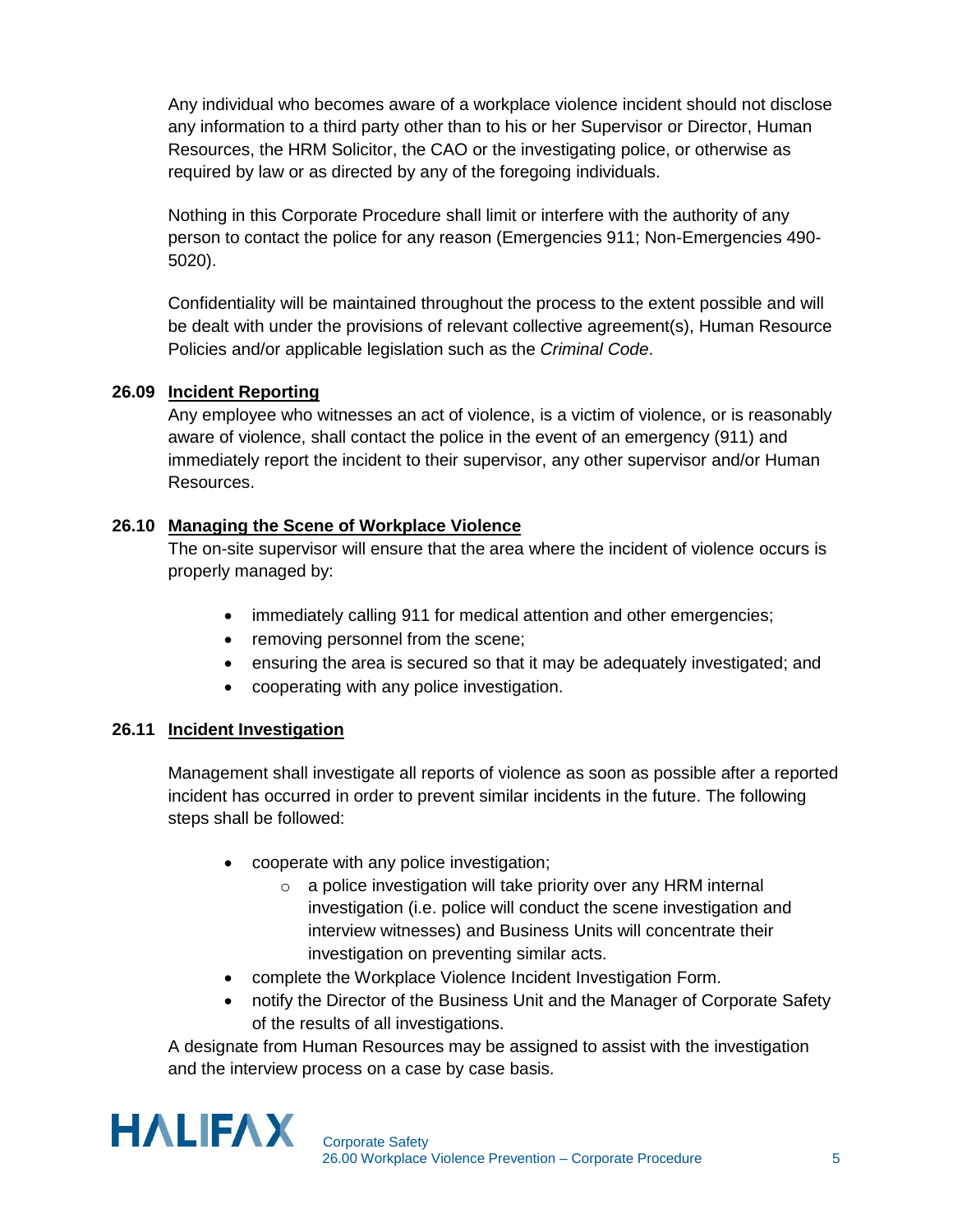Any individual who becomes aware of a workplace violence incident should not disclose any information to a third party other than to his or her Supervisor or Director, Human Resources, the HRM Solicitor, the CAO or the investigating police, or otherwise as required by law or as directed by any of the foregoing individuals.

Nothing in this Corporate Procedure shall limit or interfere with the authority of any person to contact the police for any reason (Emergencies 911; Non-Emergencies 490- 5020).

Confidentiality will be maintained throughout the process to the extent possible and will be dealt with under the provisions of relevant collective agreement(s), Human Resource Policies and/or applicable legislation such as the *Criminal Code*.

## **26.09 Incident Reporting**

Any employee who witnesses an act of violence, is a victim of violence, or is reasonably aware of violence, shall contact the police in the event of an emergency (911) and immediately report the incident to their supervisor, any other supervisor and/or Human Resources.

## **26.10 Managing the Scene of Workplace Violence**

The on-site supervisor will ensure that the area where the incident of violence occurs is properly managed by:

- immediately calling 911 for medical attention and other emergencies;
- removing personnel from the scene;
- ensuring the area is secured so that it may be adequately investigated; and
- cooperating with any police investigation.

## **26.11 Incident Investigation**

Management shall investigate all reports of violence as soon as possible after a reported incident has occurred in order to prevent similar incidents in the future. The following steps shall be followed:

- cooperate with any police investigation;
	- o a police investigation will take priority over any HRM internal investigation (i.e. police will conduct the scene investigation and interview witnesses) and Business Units will concentrate their investigation on preventing similar acts.
- complete the Workplace Violence Incident Investigation Form.
- notify the Director of the Business Unit and the Manager of Corporate Safety of the results of all investigations.

A designate from Human Resources may be assigned to assist with the investigation and the interview process on a case by case basis.

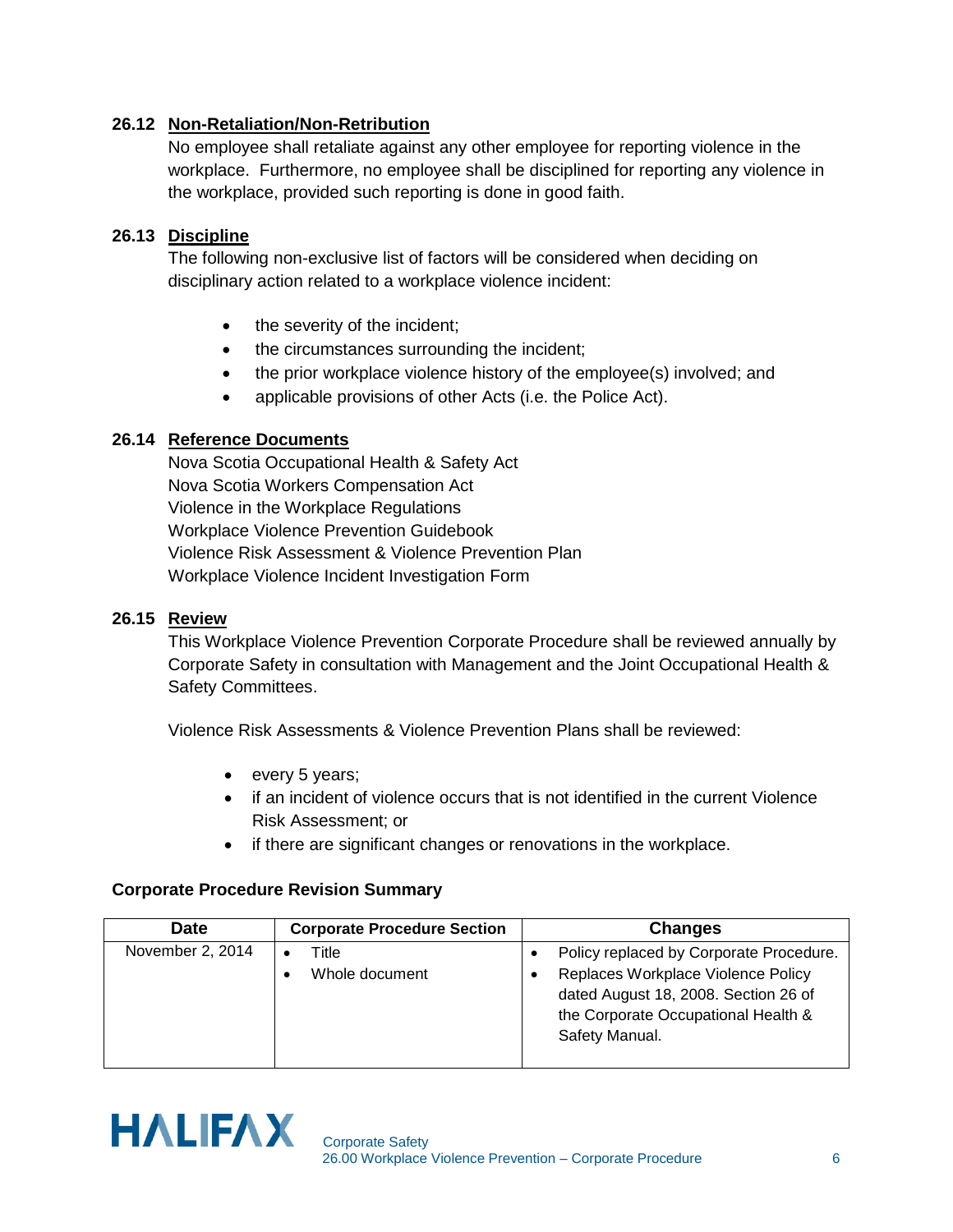## **26.12 Non-Retaliation/Non-Retribution**

No employee shall retaliate against any other employee for reporting violence in the workplace. Furthermore, no employee shall be disciplined for reporting any violence in the workplace, provided such reporting is done in good faith.

## **26.13 Discipline**

The following non-exclusive list of factors will be considered when deciding on disciplinary action related to a workplace violence incident:

- the severity of the incident;
- the circumstances surrounding the incident;
- the prior workplace violence history of the employee(s) involved; and
- applicable provisions of other Acts (i.e. the Police Act).

#### **26.14 Reference Documents**

Nova Scotia Occupational Health & Safety Act Nova Scotia Workers Compensation Act Violence in the Workplace Regulations Workplace Violence Prevention Guidebook Violence Risk Assessment & Violence Prevention Plan Workplace Violence Incident Investigation Form

#### **26.15 Review**

This Workplace Violence Prevention Corporate Procedure shall be reviewed annually by Corporate Safety in consultation with Management and the Joint Occupational Health & Safety Committees.

Violence Risk Assessments & Violence Prevention Plans shall be reviewed:

- every 5 years;
- if an incident of violence occurs that is not identified in the current Violence Risk Assessment; or
- if there are significant changes or renovations in the workplace.

#### **Corporate Procedure Revision Summary**

| <b>Date</b>      | <b>Corporate Procedure Section</b> | <b>Changes</b>                                                                                                                      |
|------------------|------------------------------------|-------------------------------------------------------------------------------------------------------------------------------------|
| November 2, 2014 | Title                              | Policy replaced by Corporate Procedure.                                                                                             |
|                  | Whole document                     | Replaces Workplace Violence Policy<br>dated August 18, 2008. Section 26 of<br>the Corporate Occupational Health &<br>Safety Manual. |